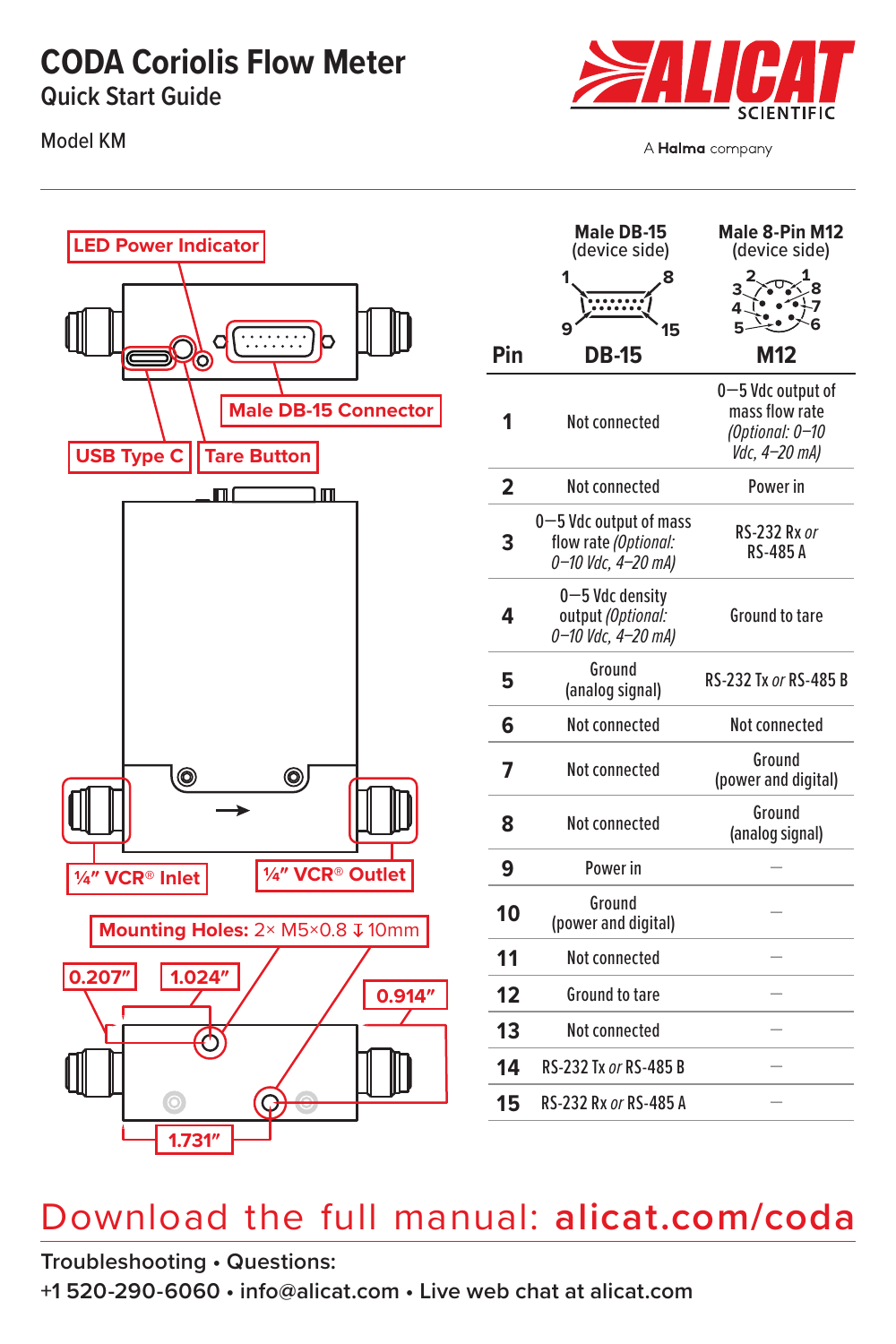### **CODA Coriolis Flow Meter**

**Quick Start Guide**

Model KM



A Halma company



|                         | Male DB-15<br>(device side)                                          | Male 8-Pin M12<br>(device side)                                         |
|-------------------------|----------------------------------------------------------------------|-------------------------------------------------------------------------|
|                         | 1                                                                    |                                                                         |
|                         |                                                                      | 4                                                                       |
|                         | q<br>15                                                              | 5.                                                                      |
| Pin                     | DB-15                                                                | M12                                                                     |
| 1                       | Not connected                                                        | 0-5 Vdc output of<br>mass flow rate<br>(Optional: 0-10<br>Vdc, 4-20 mA) |
| $\overline{\mathbf{2}}$ | Not connected                                                        | Power in                                                                |
| 3                       | 0-5 Vdc output of mass<br>flow rate (Optional:<br>0-10 Vdc, 4-20 mA) | RS-232 Rx or<br><b>RS-485 A</b>                                         |
| 4                       | $0 - 5$ Vdc density<br>output (Optional:<br>0-10 Vdc, 4-20 mA)       | <b>Ground to tare</b>                                                   |
| 5                       | Ground<br>(analog signal)                                            | RS-232 Tx or RS-485 B                                                   |
| 6                       | Not connected                                                        | Not connected                                                           |
| 7                       | Not connected                                                        | Ground<br>(power and digital)                                           |
| 8                       | Not connected                                                        | Ground<br>(analog signal)                                               |
| 9                       | Power in                                                             |                                                                         |
| 10                      | Ground<br>(power and digital)                                        |                                                                         |
| 11                      | Not connected                                                        |                                                                         |
| 12                      | <b>Ground to tare</b>                                                |                                                                         |
| 13                      | Not connected                                                        |                                                                         |
| 14                      | RS-232 Tx or RS-485 B                                                |                                                                         |
| 15                      | RS-232 Rx or RS-485 A                                                |                                                                         |

### Download the full manual: **[alicat.com/coda](http://alicat.com/coda )**

**Troubleshooting • Questions:**

**+1 520-290-6060 • [info@alicat.com](mailto:info@alicat.com) • Live web chat at [alicat.com](http://alicat.com)**